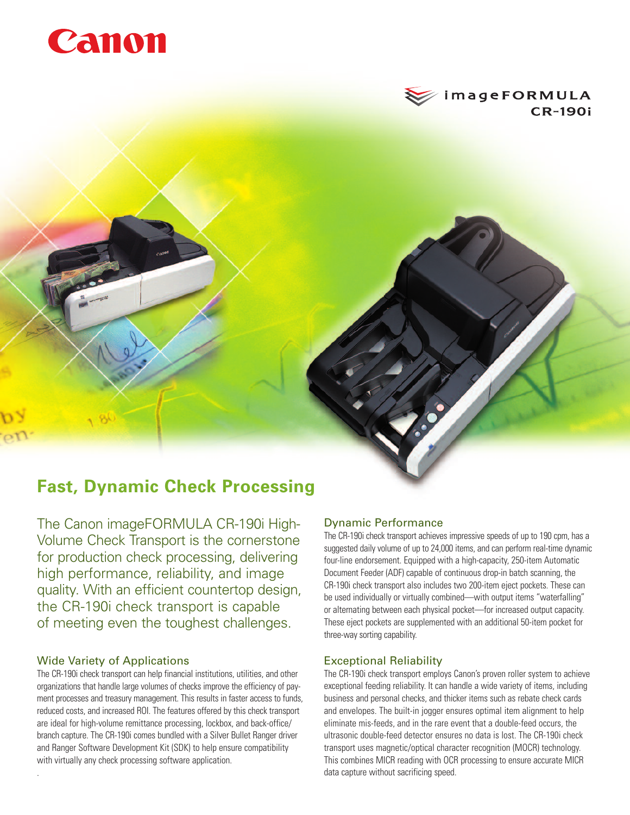



# **Fast, Dynamic Check Processing**

The Canon imageFORMULA CR-190i High-Volume Check Transport is the cornerstone for production check processing, delivering high performance, reliability, and image quality. With an efficient countertop design, the CR-190i check transport is capable of meeting even the toughest challenges.

## Wide Variety of Applications

.

The CR-190i check transport can help financial institutions, utilities, and other organizations that handle large volumes of checks improve the efficiency of payment processes and treasury management. This results in faster access to funds, reduced costs, and increased ROI. The features offered by this check transport are ideal for high-volume remittance processing, lockbox, and back-office/ branch capture. The CR-190i comes bundled with a Silver Bullet Ranger driver and Ranger Software Development Kit (SDK) to help ensure compatibility with virtually any check processing software application.

### Dynamic Performance

The CR-190i check transport achieves impressive speeds of up to 190 cpm, has a suggested daily volume of up to 24,000 items, and can perform real-time dynamic four-line endorsement. Equipped with a high-capacity, 250-item Automatic Document Feeder (ADF) capable of continuous drop-in batch scanning, the CR-190i check transport also includes two 200-item eject pockets. These can be used individually or virtually combined—with output items "waterfalling" or alternating between each physical pocket—for increased output capacity. These eject pockets are supplemented with an additional 50-item pocket for three-way sorting capability.

### Exceptional Reliability

The CR-190i check transport employs Canon's proven roller system to achieve exceptional feeding reliability. It can handle a wide variety of items, including business and personal checks, and thicker items such as rebate check cards and envelopes. The built-in jogger ensures optimal item alignment to help eliminate mis-feeds, and in the rare event that a double-feed occurs, the ultrasonic double-feed detector ensures no data is lost. The CR-190i check transport uses magnetic/optical character recognition (MOCR) technology. This combines MICR reading with OCR processing to ensure accurate MICR data capture without sacrificing speed.